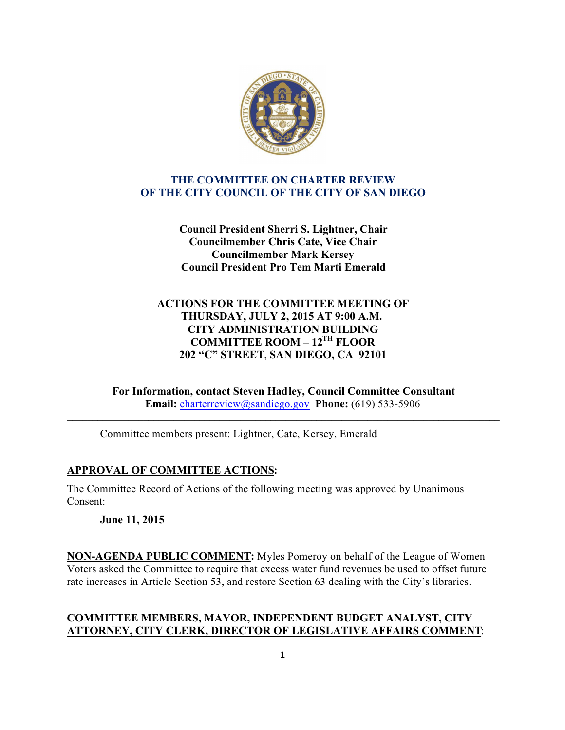

### **THE COMMITTEE ON CHARTER REVIEW OF THE CITY COUNCIL OF THE CITY OF SAN DIEGO**

**Council President Sherri S. Lightner, Chair Councilmember Chris Cate, Vice Chair Councilmember Mark Kersey Council President Pro Tem Marti Emerald**

### **ACTIONS FOR THE COMMITTEE MEETING OF THURSDAY, JULY 2, 2015 AT 9:00 A.M. CITY ADMINISTRATION BUILDING COMMITTEE ROOM – 12TH FLOOR 202 "C" STREET**, **SAN DIEGO, CA 92101**

**For Information, contact Steven Hadley, Council Committee Consultant Email:** charterreview@sandiego.gov **Phone:** (619) 533-5906

**\_\_\_\_\_\_\_\_\_\_\_\_\_\_\_\_\_\_\_\_\_\_\_\_\_\_\_\_\_\_\_\_\_\_\_\_\_\_\_\_\_\_\_\_\_\_\_\_\_\_\_\_\_\_\_\_\_\_\_\_\_\_\_\_\_\_\_\_\_\_\_\_\_\_\_\_\_\_\_\_\_\_\_\_\_**

Committee members present: Lightner, Cate, Kersey, Emerald

# **APPROVAL OF COMMITTEE ACTIONS:**

The Committee Record of Actions of the following meeting was approved by Unanimous Consent:

**June 11, 2015**

**NON-AGENDA PUBLIC COMMENT:** Myles Pomeroy on behalf of the League of Women Voters asked the Committee to require that excess water fund revenues be used to offset future rate increases in Article Section 53, and restore Section 63 dealing with the City's libraries.

## **COMMITTEE MEMBERS, MAYOR, INDEPENDENT BUDGET ANALYST, CITY ATTORNEY, CITY CLERK, DIRECTOR OF LEGISLATIVE AFFAIRS COMMENT**: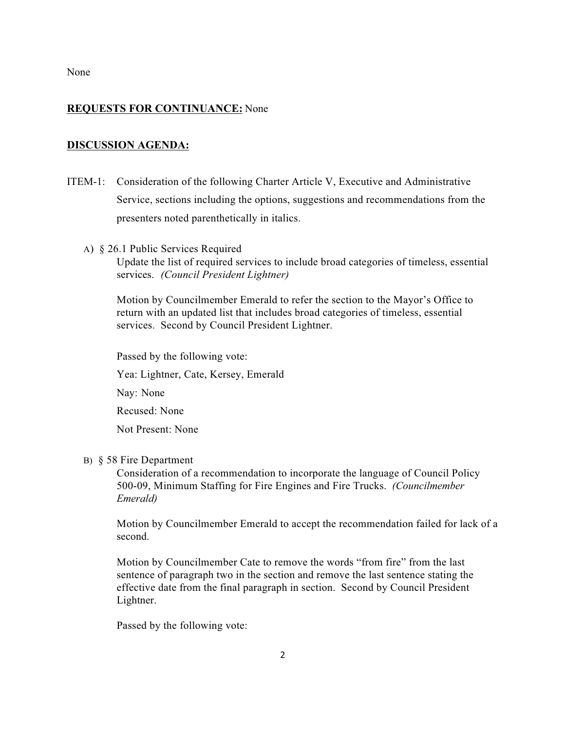None

### **REQUESTS FOR CONTINUANCE:** None

#### **DISCUSSION AGENDA:**

- ITEM-1: Consideration of the following Charter Article V, Executive and Administrative Service, sections including the options, suggestions and recommendations from the presenters noted parenthetically in italics.
	- A) § 26.1 Public Services Required

Update the list of required services to include broad categories of timeless, essential services. *(Council President Lightner)*

Motion by Councilmember Emerald to refer the section to the Mayor's Office to return with an updated list that includes broad categories of timeless, essential services. Second by Council President Lightner.

 Passed by the following vote: Yea: Lightner, Cate, Kersey, Emerald Nay: None Recused: None Not Present: None

### B) § 58 Fire Department

Consideration of a recommendation to incorporate the language of Council Policy 500-09, Minimum Staffing for Fire Engines and Fire Trucks. *(Councilmember Emerald)*

Motion by Councilmember Emerald to accept the recommendation failed for lack of a second.

Motion by Councilmember Cate to remove the words "from fire" from the last sentence of paragraph two in the section and remove the last sentence stating the effective date from the final paragraph in section. Second by Council President Lightner.

Passed by the following vote: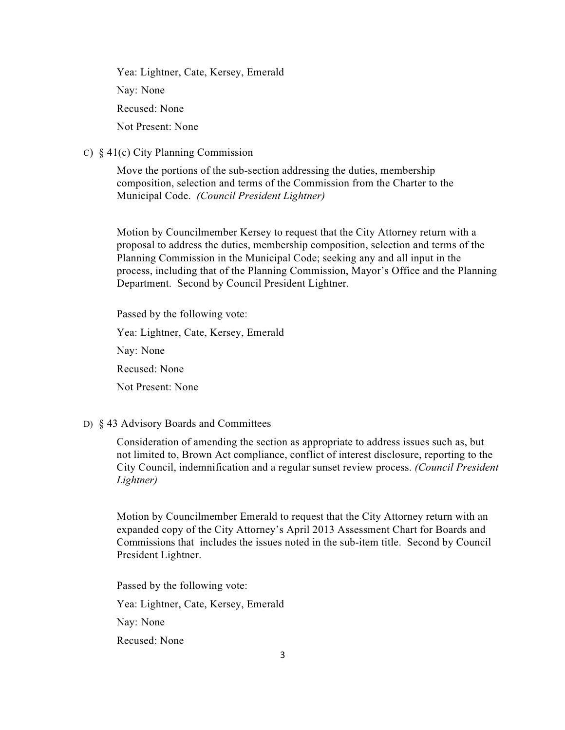Yea: Lightner, Cate, Kersey, Emerald Nay: None Recused: None Not Present: None

C) § 41(c) City Planning Commission

Move the portions of the sub-section addressing the duties, membership composition, selection and terms of the Commission from the Charter to the Municipal Code. *(Council President Lightner)*

Motion by Councilmember Kersey to request that the City Attorney return with a proposal to address the duties, membership composition, selection and terms of the Planning Commission in the Municipal Code; seeking any and all input in the process, including that of the Planning Commission, Mayor's Office and the Planning Department. Second by Council President Lightner.

 Passed by the following vote: Yea: Lightner, Cate, Kersey, Emerald Nay: None Recused: None Not Present: None

D) § 43 Advisory Boards and Committees

Consideration of amending the section as appropriate to address issues such as, but not limited to, Brown Act compliance, conflict of interest disclosure, reporting to the City Council, indemnification and a regular sunset review process. *(Council President Lightner)*

Motion by Councilmember Emerald to request that the City Attorney return with an expanded copy of the City Attorney's April 2013 Assessment Chart for Boards and Commissions that includes the issues noted in the sub-item title. Second by Council President Lightner.

 Passed by the following vote: Yea: Lightner, Cate, Kersey, Emerald Nay: None Recused: None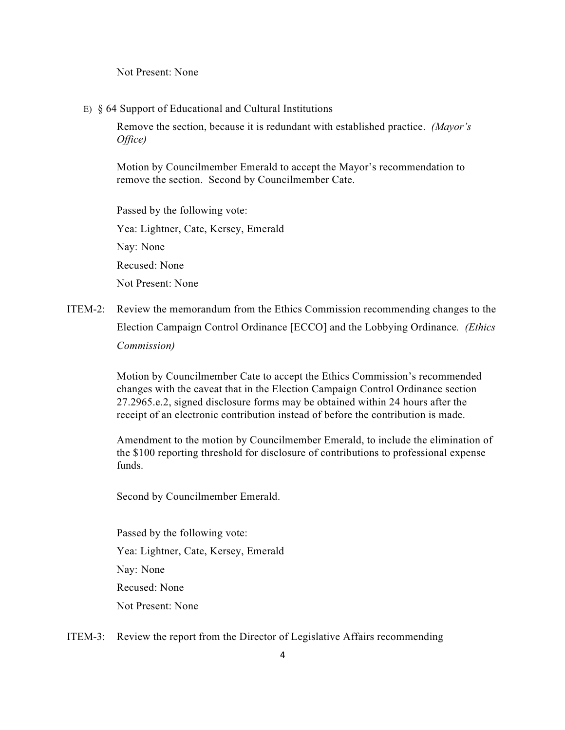Not Present: None

E) § 64 Support of Educational and Cultural Institutions

 Remove the section, because it is redundant with established practice. *(Mayor's Office)*

Motion by Councilmember Emerald to accept the Mayor's recommendation to remove the section. Second by Councilmember Cate.

 Passed by the following vote: Yea: Lightner, Cate, Kersey, Emerald Nay: None Recused: None Not Present: None

ITEM-2: Review the memorandum from the Ethics Commission recommending changes to the Election Campaign Control Ordinance [ECCO] and the Lobbying Ordinance*. (Ethics Commission)*

> Motion by Councilmember Cate to accept the Ethics Commission's recommended changes with the caveat that in the Election Campaign Control Ordinance section 27.2965.e.2, signed disclosure forms may be obtained within 24 hours after the receipt of an electronic contribution instead of before the contribution is made.

Amendment to the motion by Councilmember Emerald, to include the elimination of the \$100 reporting threshold for disclosure of contributions to professional expense funds.

Second by Councilmember Emerald.

Passed by the following vote: Yea: Lightner, Cate, Kersey, Emerald Nay: None Recused: None Not Present: None

ITEM-3: Review the report from the Director of Legislative Affairs recommending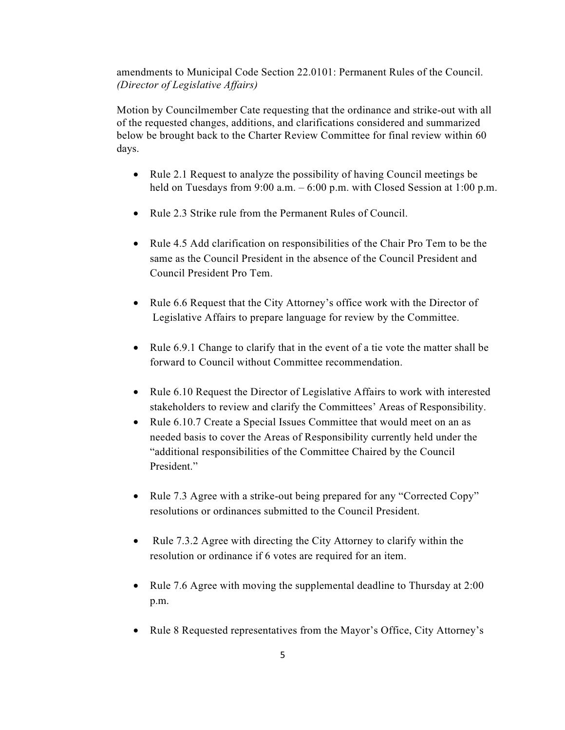amendments to Municipal Code Section 22.0101: Permanent Rules of the Council. *(Director of Legislative Affairs)*

 Motion by Councilmember Cate requesting that the ordinance and strike-out with all of the requested changes, additions, and clarifications considered and summarized below be brought back to the Charter Review Committee for final review within 60 days.

- · Rule 2.1 Request to analyze the possibility of having Council meetings be held on Tuesdays from 9:00 a.m. – 6:00 p.m. with Closed Session at 1:00 p.m.
- · Rule 2.3 Strike rule from the Permanent Rules of Council.
- · Rule 4.5 Add clarification on responsibilities of the Chair Pro Tem to be the same as the Council President in the absence of the Council President and Council President Pro Tem.
- Rule 6.6 Request that the City Attorney's office work with the Director of Legislative Affairs to prepare language for review by the Committee.
- Rule 6.9.1 Change to clarify that in the event of a tie vote the matter shall be forward to Council without Committee recommendation.
- · Rule 6.10 Request the Director of Legislative Affairs to work with interested stakeholders to review and clarify the Committees' Areas of Responsibility.
- Rule 6.10.7 Create a Special Issues Committee that would meet on an as needed basis to cover the Areas of Responsibility currently held under the "additional responsibilities of the Committee Chaired by the Council President."
- Rule 7.3 Agree with a strike-out being prepared for any "Corrected Copy" resolutions or ordinances submitted to the Council President.
- Rule 7.3.2 Agree with directing the City Attorney to clarify within the resolution or ordinance if 6 votes are required for an item.
- Rule 7.6 Agree with moving the supplemental deadline to Thursday at 2:00 p.m.
- Rule 8 Requested representatives from the Mayor's Office, City Attorney's